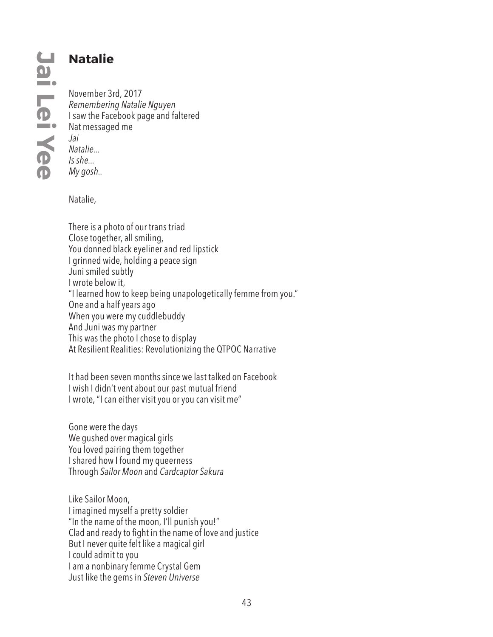## **Natalie**

November 3rd, 2017 *Remembering Natalie Nguyen* I saw the Facebook page and faltered Nat messaged me *Jai Natalie... Is she... My gosh..*

Natalie,

There is a photo of our trans triad Close together, all smiling, You donned black eyeliner and red lipstick I grinned wide, holding a peace sign Juni smiled subtly I wrote below it, "I learned how to keep being unapologetically femme from you." One and a half years ago When you were my cuddlebuddy And Juni was my partner This was the photo I chose to display At Resilient Realities: Revolutionizing the QTPOC Narrative

It had been seven months since we last talked on Facebook I wish I didn't vent about our past mutual friend I wrote, "I can either visit you or you can visit me"

Gone were the days We gushed over magical girls You loved pairing them together I shared how I found my queerness Through *Sailor Moon* and *Cardcaptor Sakura*

Like Sailor Moon, I imagined myself a pretty soldier "In the name of the moon, I'll punish you!" Clad and ready to fight in the name of love and justice But I never quite felt like a magical girl I could admit to you I am a nonbinary femme Crystal Gem Just like the gems in *Steven Universe*